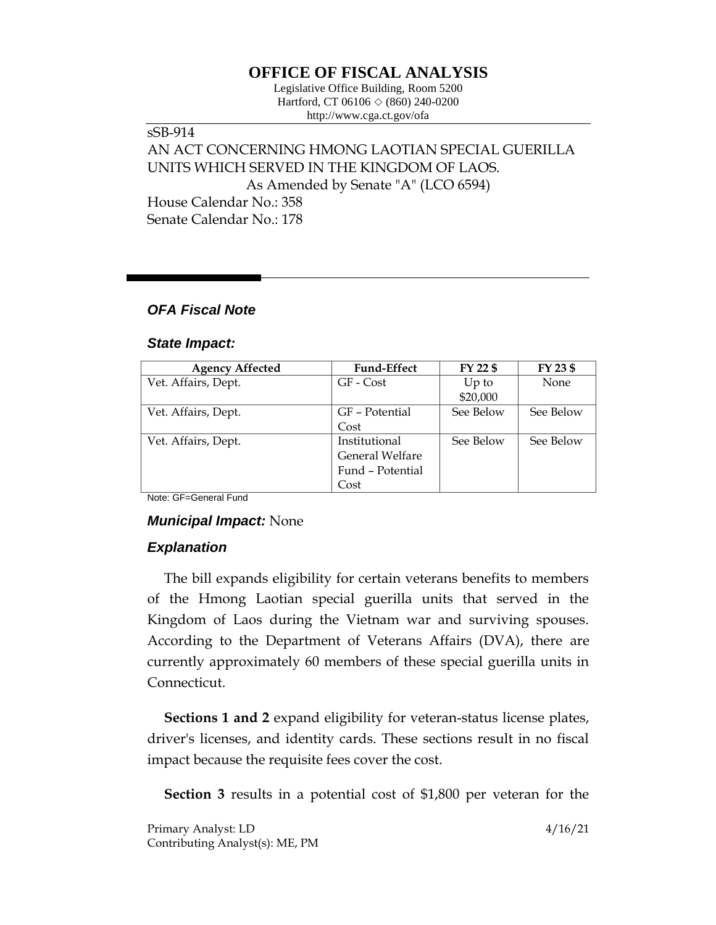# **OFFICE OF FISCAL ANALYSIS**

Legislative Office Building, Room 5200 Hartford, CT 06106 ◇ (860) 240-0200 http://www.cga.ct.gov/ofa

sSB-914 AN ACT CONCERNING HMONG LAOTIAN SPECIAL GUERILLA UNITS WHICH SERVED IN THE KINGDOM OF LAOS. As Amended by Senate "A" (LCO 6594) House Calendar No.: 358 Senate Calendar No.: 178

### *OFA Fiscal Note*

#### *State Impact:*

| <b>Agency Affected</b> | <b>Fund-Effect</b> | FY 22 \$  | FY 23 \$  |
|------------------------|--------------------|-----------|-----------|
| Vet. Affairs, Dept.    | GF - Cost          | $Up$ to   | None      |
|                        |                    | \$20,000  |           |
| Vet. Affairs, Dept.    | GF - Potential     | See Below | See Below |
|                        | Cost               |           |           |
| Vet. Affairs, Dept.    | Institutional      | See Below | See Below |
|                        | General Welfare    |           |           |
|                        | Fund - Potential   |           |           |
|                        | Cost               |           |           |

Note: GF=General Fund

### *Municipal Impact:* None

## *Explanation*

The bill expands eligibility for certain veterans benefits to members of the Hmong Laotian special guerilla units that served in the Kingdom of Laos during the Vietnam war and surviving spouses. According to the Department of Veterans Affairs (DVA), there are currently approximately 60 members of these special guerilla units in Connecticut.

**Sections 1 and 2** expand eligibility for veteran-status license plates, driver's licenses, and identity cards. These sections result in no fiscal impact because the requisite fees cover the cost.

**Section 3** results in a potential cost of \$1,800 per veteran for the